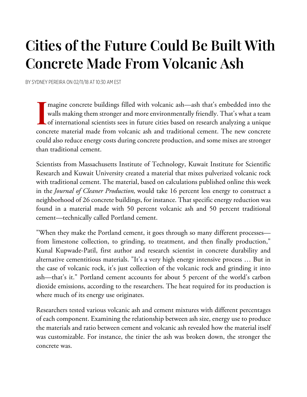## **Cities of the Future Could Be Built With Concrete Made From Volcanic Ash**

BY SYDNEY PEREIRA ON 02/11/18 AT 10:30 AM EST

magine concrete buildings filled with volcanic ash—ash that's embedded into the walls making them stronger and more environmentally friendly. That's what a team Imagine concrete buildings filled with volcanic ash—ash that's embedded into the walls making them stronger and more environmentally friendly. That's what a team of international scientists sees in future cities based on r concrete material made from volcanic ash and traditional cement. The new concrete could also reduce energy costs during concrete production, and some mixes are stronger than traditional cement.

Scientists from Massachusetts Institute of Technology, Kuwait Institute for Scientific Research and Kuwait University created a material that mixes pulverized volcanic rock with traditional cement. The material, based on calculations published online this week in the *Journal of Cleaner Production,* would take 16 percent less energy to construct a neighborhood of 26 concrete buildings, for instance. That specific energy reduction was found in a material made with 50 percent volcanic ash and 50 percent traditional cement—technically called Portland cement.

"When they make the Portland cement, it goes through so many different processes from limestone collection, to grinding, to treatment, and then finally production," Kunal Kupwade-Patil, first author and research scientist in concrete durability and alternative cementitious materials. "It's a very high energy intensive process … But in the case of volcanic rock, it's just collection of the volcanic rock and grinding it into ash—that's it." Portland cement accounts for about 5 percent of the world's carbon dioxide emissions, according to the researchers. The heat required for its production is where much of its energy use originates.

Researchers tested various volcanic ash and cement mixtures with different percentages of each component. Examining the relationship between ash size, energy use to produce the materials and ratio between cement and volcanic ash revealed how the material itself was customizable. For instance, the tinier the ash was broken down, the stronger the concrete was.